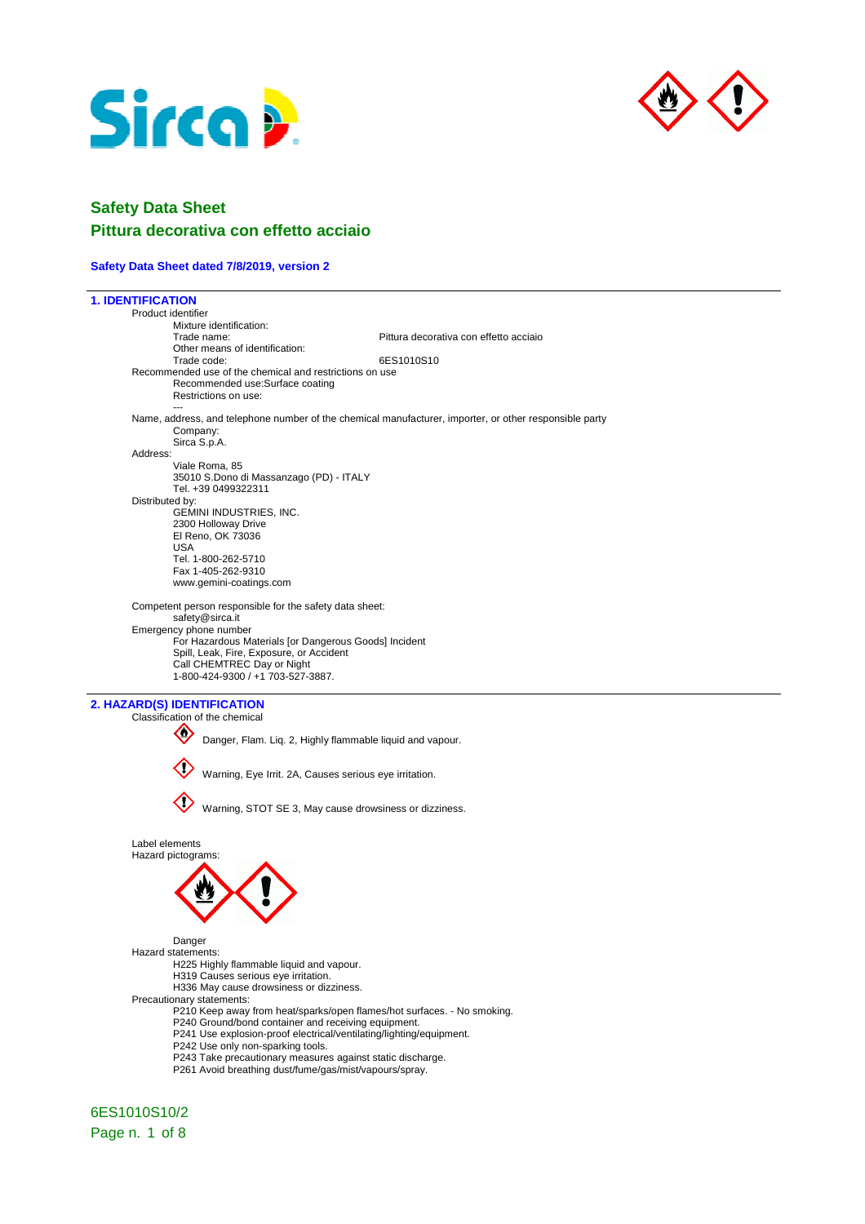



# **Safety Data Sheet Pittura decorativa con effetto acciaio**

### **Safety Data Sheet dated 7/8/2019, version 2**

| <b>1. IDENTIFICATION</b> |                                                                                                          |                                                                                                        |  |
|--------------------------|----------------------------------------------------------------------------------------------------------|--------------------------------------------------------------------------------------------------------|--|
|                          | Product identifier                                                                                       |                                                                                                        |  |
|                          | Mixture identification:                                                                                  |                                                                                                        |  |
|                          | Trade name:                                                                                              | Pittura decorativa con effetto acciaio                                                                 |  |
|                          | Other means of identification:<br>Trade code:                                                            | 6ES1010S10                                                                                             |  |
|                          | Recommended use of the chemical and restrictions on use                                                  |                                                                                                        |  |
|                          | Recommended use:Surface coating                                                                          |                                                                                                        |  |
|                          | Restrictions on use:                                                                                     |                                                                                                        |  |
|                          |                                                                                                          |                                                                                                        |  |
|                          |                                                                                                          | Name, address, and telephone number of the chemical manufacturer, importer, or other responsible party |  |
|                          | Company:                                                                                                 |                                                                                                        |  |
|                          | Sirca S.p.A.                                                                                             |                                                                                                        |  |
| Address:                 | Viale Roma, 85                                                                                           |                                                                                                        |  |
|                          | 35010 S.Dono di Massanzago (PD) - ITALY                                                                  |                                                                                                        |  |
|                          | Tel. +39 0499322311                                                                                      |                                                                                                        |  |
|                          | Distributed by:                                                                                          |                                                                                                        |  |
|                          | GEMINI INDUSTRIES, INC.                                                                                  |                                                                                                        |  |
|                          | 2300 Holloway Drive                                                                                      |                                                                                                        |  |
|                          | El Reno, OK 73036                                                                                        |                                                                                                        |  |
|                          | <b>USA</b><br>Tel. 1-800-262-5710                                                                        |                                                                                                        |  |
|                          | Fax 1-405-262-9310                                                                                       |                                                                                                        |  |
|                          | www.gemini-coatings.com                                                                                  |                                                                                                        |  |
|                          |                                                                                                          |                                                                                                        |  |
|                          | Competent person responsible for the safety data sheet:                                                  |                                                                                                        |  |
|                          | safety@sirca.it                                                                                          |                                                                                                        |  |
|                          | Emergency phone number<br>For Hazardous Materials [or Dangerous Goods] Incident                          |                                                                                                        |  |
|                          | Spill, Leak, Fire, Exposure, or Accident                                                                 |                                                                                                        |  |
|                          | Call CHEMTREC Day or Night                                                                               |                                                                                                        |  |
|                          | 1-800-424-9300 / +1 703-527-3887.                                                                        |                                                                                                        |  |
|                          |                                                                                                          |                                                                                                        |  |
|                          |                                                                                                          |                                                                                                        |  |
|                          | 2. HAZARD(S) IDENTIFICATION                                                                              |                                                                                                        |  |
|                          | Classification of the chemical                                                                           |                                                                                                        |  |
|                          | Ø                                                                                                        |                                                                                                        |  |
|                          |                                                                                                          | Danger, Flam. Liq. 2, Highly flammable liquid and vapour.                                              |  |
|                          |                                                                                                          |                                                                                                        |  |
|                          | Warning, Eye Irrit. 2A, Causes serious eye irritation.                                                   |                                                                                                        |  |
|                          |                                                                                                          |                                                                                                        |  |
|                          |                                                                                                          |                                                                                                        |  |
|                          |                                                                                                          | Warning, STOT SE 3, May cause drowsiness or dizziness.                                                 |  |
|                          |                                                                                                          |                                                                                                        |  |
|                          | Label elements                                                                                           |                                                                                                        |  |
|                          | Hazard pictograms:                                                                                       |                                                                                                        |  |
|                          |                                                                                                          |                                                                                                        |  |
|                          |                                                                                                          |                                                                                                        |  |
|                          |                                                                                                          |                                                                                                        |  |
|                          |                                                                                                          |                                                                                                        |  |
|                          |                                                                                                          |                                                                                                        |  |
|                          |                                                                                                          |                                                                                                        |  |
|                          | Danger<br>Hazard statements:                                                                             |                                                                                                        |  |
|                          | H225 Highly flammable liquid and vapour.                                                                 |                                                                                                        |  |
|                          | H319 Causes serious eye irritation.                                                                      |                                                                                                        |  |
|                          | H336 May cause drowsiness or dizziness.                                                                  |                                                                                                        |  |
|                          | Precautionary statements:                                                                                |                                                                                                        |  |
|                          |                                                                                                          | P210 Keep away from heat/sparks/open flames/hot surfaces. - No smoking.                                |  |
|                          | P240 Ground/bond container and receiving equipment.                                                      |                                                                                                        |  |
|                          | P241 Use explosion-proof electrical/ventilating/lighting/equipment.<br>P242 Use only non-sparking tools. |                                                                                                        |  |
|                          | P243 Take precautionary measures against static discharge.                                               |                                                                                                        |  |
|                          | P261 Avoid breathing dust/fume/gas/mist/vapours/spray.                                                   |                                                                                                        |  |
|                          |                                                                                                          |                                                                                                        |  |

6ES1010S10/2 Page n. 1 of 8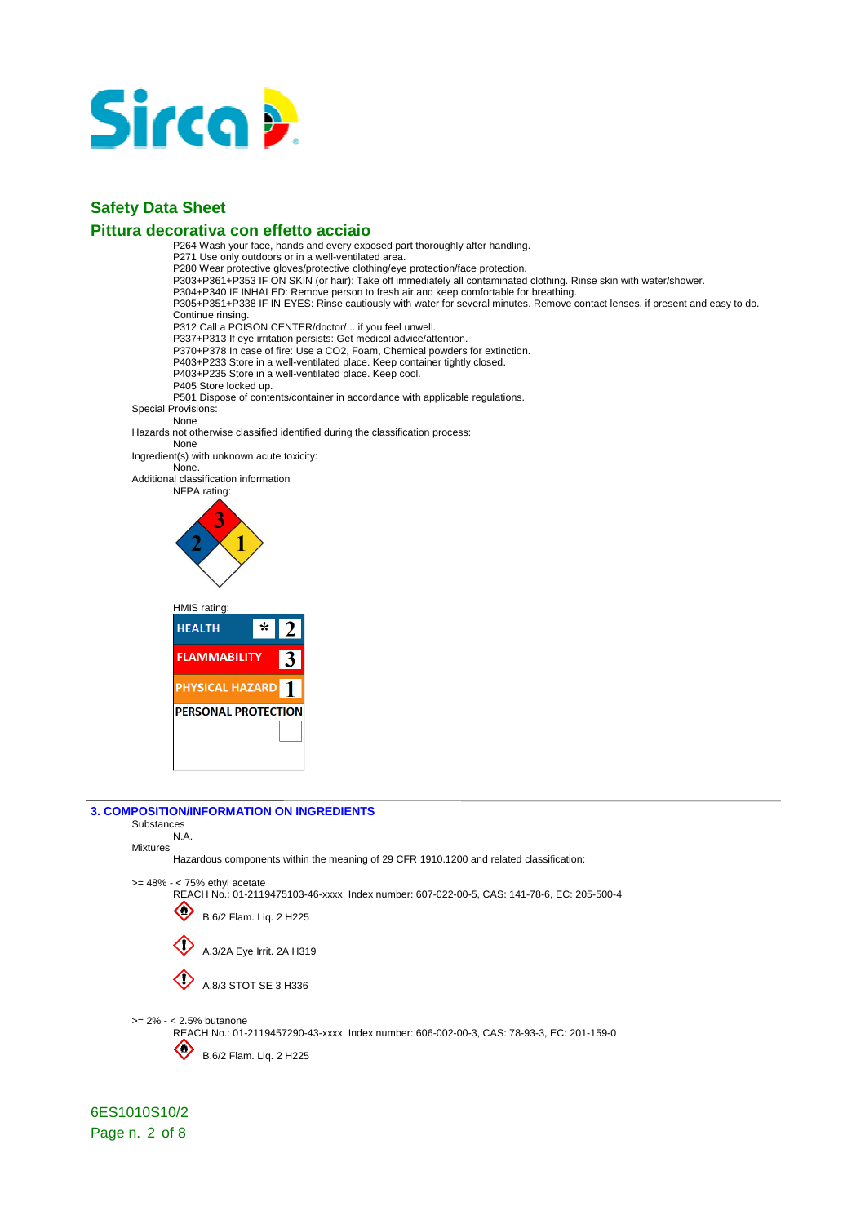

### **Pittura decorativa con effetto acciaio**

P264 Wash your face, hands and every exposed part thoroughly after handling. P271 Use only outdoors or in a well-ventilated area. P280 Wear protective gloves/protective clothing/eye protection/face protection. P303+P361+P353 IF ON SKIN (or hair): Take off immediately all contaminated clothing. Rinse skin with water/shower. P304+P340 IF INHALED: Remove person to fresh air and keep comfortable for breathing. P305+P351+P338 IF IN EYES: Rinse cautiously with water for several minutes. Remove contact lenses, if present and easy to do. Continue rinsing. P312 Call a POISON CENTER/doctor/... if you feel unwell. P337+P313 If eye irritation persists: Get medical advice/attention. P370+P378 In case of fire: Use a CO2, Foam, Chemical powders for extinction. P403+P233 Store in a well-ventilated place. Keep container tightly closed. P403+P235 Store in a well-ventilated place. Keep cool. P405 Store locked up. P501 Dispose of contents/container in accordance with applicable regulations. Special Provisions: None Hazards not otherwise classified identified during the classification process: None Ingredient(s) with unknown acute toxicity: None. Additional classification information NFPA rating: HMIS rating: **HEALTH**  $\star$ **FLAMMABILITY** 3



PHYSICAL HAZARD<sup>1</sup> **PERSONAL PROTECTION** 

### **3. COMPOSITION/INFORMATION ON INGREDIENTS**

### Substances N.A.

Mixtures Hazardous components within the meaning of 29 CFR 1910.1200 and related classification:

### >= 48% - < 75% ethyl acetate

REACH No.: 01-2119475103-46-xxxx, Index number: 607-022-00-5, CAS: 141-78-6, EC: 205-500-4



6ES1010S10/2 Page n. 2 of 8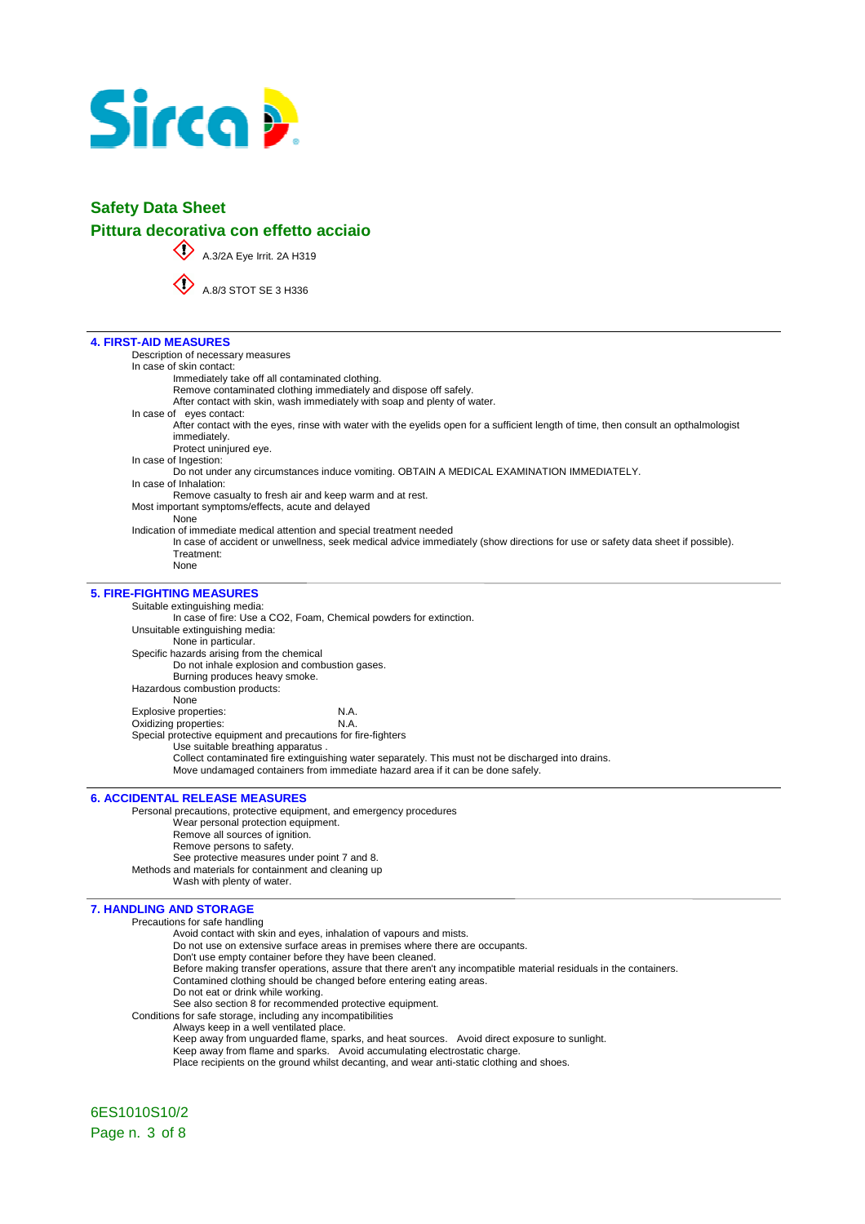

# **Safety Data Sheet Pittura decorativa con effetto acciaio**

A.3/2A Eye Irrit. 2A H319

A.8/3 STOT SE 3 H336

### **4. FIRST-AID MEASURES**

Description of necessary measures In case of skin contact: Immediately take off all contaminated clothing. Remove contaminated clothing immediately and dispose off safely. After contact with skin, wash immediately with soap and plenty of water. In case of eyes contact: After contact with the eyes, rinse with water with the eyelids open for a sufficient length of time, then consult an opthalmologist immediately. Protect uninjured eye. In case of Ingestion: Do not under any circumstances induce vomiting. OBTAIN A MEDICAL EXAMINATION IMMEDIATELY. In case of Inhalation: Remove casualty to fresh air and keep warm and at rest. Most important symptoms/effects, acute and delayed None Indication of immediate medical attention and special treatment needed In case of accident or unwellness, seek medical advice immediately (show directions for use or safety data sheet if possible). Treatment: None **5. FIRE-FIGHTING MEASURES**  Suitable extinguishing media: In case of fire: Use a CO2, Foam, Chemical powders for extinction. Unsuitable extinguishing media: None in particular. Specific hazards arising from the chemical Do not inhale explosion and combustion gases. Burning produces heavy smoke. Hazardous combustion products: None Explosive properties: N.A.<br>
Oxidizing properties: N.A. Oxidizing properties: Special protective equipment and precautions for fire-fighters Use suitable breathing apparatus .

Collect contaminated fire extinguishing water separately. This must not be discharged into drains. Move undamaged containers from immediate hazard area if it can be done safely.

**6. ACCIDENTAL RELEASE MEASURES**  Personal precautions, protective equipment, and emergency procedures Wear personal protection equipment. Remove all sources of ignition. Remove persons to safety. See protective measures under point 7 and 8. Methods and materials for containment and cleaning up Wash with plenty of water.

### **7. HANDLING AND STORAGE**

Precautions for safe handling

Avoid contact with skin and eyes, inhalation of vapours and mists.

- Do not use on extensive surface areas in premises where there are occupants.
- Don't use empty container before they have been cleaned.
- Before making transfer operations, assure that there aren't any incompatible material residuals in the containers.
- Contamined clothing should be changed before entering eating areas.
- Do not eat or drink while working.

See also section 8 for recommended protective equipment. Conditions for safe storage, including any incompatibilities

Always keep in a well ventilated place.

Keep away from unguarded flame, sparks, and heat sources. Avoid direct exposure to sunlight.

Keep away from flame and sparks. Avoid accumulating electrostatic charge.

Place recipients on the ground whilst decanting, and wear anti-static clothing and shoes.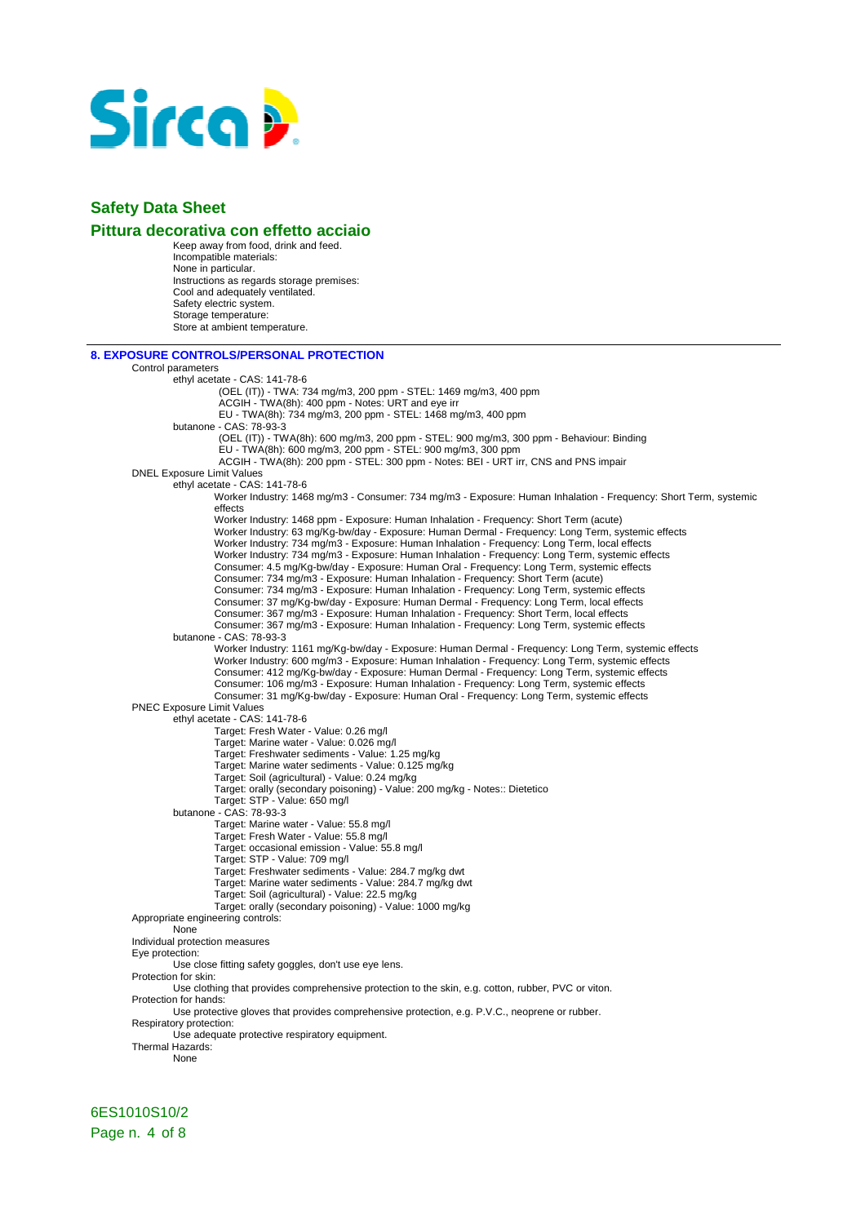

### **Pittura decorativa con effetto acciaio**

Keep away from food, drink and feed. Incompatible materials: None in particular. Instructions as regards storage premises: Cool and adequately ventilated. Safety electric system. Storage temperature: Store at ambient temperature.

| <b>8. EXPOSURE CONTROLS/PERSONAL PROTECTION</b>                                                                                                                                                          |  |
|----------------------------------------------------------------------------------------------------------------------------------------------------------------------------------------------------------|--|
| Control parameters                                                                                                                                                                                       |  |
| ethyl acetate - CAS: 141-78-6                                                                                                                                                                            |  |
| (OEL (IT)) - TWA: 734 mg/m3, 200 ppm - STEL: 1469 mg/m3, 400 ppm                                                                                                                                         |  |
| ACGIH - TWA(8h): 400 ppm - Notes: URT and eye irr                                                                                                                                                        |  |
| EU - TWA(8h): 734 mg/m3, 200 ppm - STEL: 1468 mg/m3, 400 ppm                                                                                                                                             |  |
| butanone - CAS: 78-93-3                                                                                                                                                                                  |  |
| (OEL (IT)) - TWA(8h): 600 mg/m3, 200 ppm - STEL: 900 mg/m3, 300 ppm - Behaviour: Binding<br>EU - TWA(8h): 600 mg/m3, 200 ppm - STEL: 900 mg/m3, 300 ppm                                                  |  |
| ACGIH - TWA(8h): 200 ppm - STEL: 300 ppm - Notes: BEI - URT irr, CNS and PNS impair                                                                                                                      |  |
| <b>DNEL Exposure Limit Values</b>                                                                                                                                                                        |  |
| ethyl acetate - CAS: 141-78-6                                                                                                                                                                            |  |
| Worker Industry: 1468 mg/m3 - Consumer: 734 mg/m3 - Exposure: Human Inhalation - Frequency: Short Term, systemic                                                                                         |  |
| effects                                                                                                                                                                                                  |  |
| Worker Industry: 1468 ppm - Exposure: Human Inhalation - Frequency: Short Term (acute)                                                                                                                   |  |
| Worker Industry: 63 mg/Kg-bw/day - Exposure: Human Dermal - Frequency: Long Term, systemic effects                                                                                                       |  |
| Worker Industry: 734 mg/m3 - Exposure: Human Inhalation - Frequency: Long Term, local effects                                                                                                            |  |
| Worker Industry: 734 mg/m3 - Exposure: Human Inhalation - Frequency: Long Term, systemic effects                                                                                                         |  |
| Consumer: 4.5 mg/Kg-bw/day - Exposure: Human Oral - Frequency: Long Term, systemic effects                                                                                                               |  |
| Consumer: 734 mg/m3 - Exposure: Human Inhalation - Frequency: Short Term (acute)                                                                                                                         |  |
| Consumer: 734 mg/m3 - Exposure: Human Inhalation - Frequency: Long Term, systemic effects                                                                                                                |  |
| Consumer: 37 mg/Kg-bw/day - Exposure: Human Dermal - Frequency: Long Term, local effects                                                                                                                 |  |
| Consumer: 367 mg/m3 - Exposure: Human Inhalation - Frequency: Short Term, local effects                                                                                                                  |  |
| Consumer: 367 mg/m3 - Exposure: Human Inhalation - Frequency: Long Term, systemic effects                                                                                                                |  |
| butanone - CAS: 78-93-3                                                                                                                                                                                  |  |
| Worker Industry: 1161 mg/Kg-bw/day - Exposure: Human Dermal - Frequency: Long Term, systemic effects<br>Worker Industry: 600 mg/m3 - Exposure: Human Inhalation - Frequency: Long Term, systemic effects |  |
| Consumer: 412 mg/Kg-bw/day - Exposure: Human Dermal - Frequency: Long Term, systemic effects                                                                                                             |  |
| Consumer: 106 mg/m3 - Exposure: Human Inhalation - Frequency: Long Term, systemic effects                                                                                                                |  |
| Consumer: 31 mg/Kg-bw/day - Exposure: Human Oral - Frequency: Long Term, systemic effects                                                                                                                |  |
| <b>PNEC Exposure Limit Values</b>                                                                                                                                                                        |  |
| ethyl acetate - CAS: 141-78-6                                                                                                                                                                            |  |
| Target: Fresh Water - Value: 0.26 mg/l                                                                                                                                                                   |  |
| Target: Marine water - Value: 0.026 mg/l                                                                                                                                                                 |  |
| Target: Freshwater sediments - Value: 1.25 mg/kg                                                                                                                                                         |  |
| Target: Marine water sediments - Value: 0.125 mg/kg                                                                                                                                                      |  |
| Target: Soil (agricultural) - Value: 0.24 mg/kg                                                                                                                                                          |  |
| Target: orally (secondary poisoning) - Value: 200 mg/kg - Notes:: Dietetico                                                                                                                              |  |
| Target: STP - Value: 650 mg/l<br>butanone - CAS: 78-93-3                                                                                                                                                 |  |
| Target: Marine water - Value: 55.8 mg/l                                                                                                                                                                  |  |
| Target: Fresh Water - Value: 55.8 mg/l                                                                                                                                                                   |  |
| Target: occasional emission - Value: 55.8 mg/l                                                                                                                                                           |  |
| Target: STP - Value: 709 mg/l                                                                                                                                                                            |  |
| Target: Freshwater sediments - Value: 284.7 mg/kg dwt                                                                                                                                                    |  |
| Target: Marine water sediments - Value: 284.7 mg/kg dwt                                                                                                                                                  |  |
| Target: Soil (agricultural) - Value: 22.5 mg/kg                                                                                                                                                          |  |
| Target: orally (secondary poisoning) - Value: 1000 mg/kg                                                                                                                                                 |  |
| Appropriate engineering controls:<br>None                                                                                                                                                                |  |
| Individual protection measures                                                                                                                                                                           |  |
| Eye protection:                                                                                                                                                                                          |  |
| Use close fitting safety goggles, don't use eye lens.                                                                                                                                                    |  |
| Protection for skin:                                                                                                                                                                                     |  |
| Use clothing that provides comprehensive protection to the skin, e.g. cotton, rubber, PVC or viton.                                                                                                      |  |
| Protection for hands:                                                                                                                                                                                    |  |
| Use protective gloves that provides comprehensive protection, e.g. P.V.C., neoprene or rubber.<br>Respiratory protection:                                                                                |  |
| Use adequate protective respiratory equipment.                                                                                                                                                           |  |
| Thermal Hazards:                                                                                                                                                                                         |  |
| None                                                                                                                                                                                                     |  |
|                                                                                                                                                                                                          |  |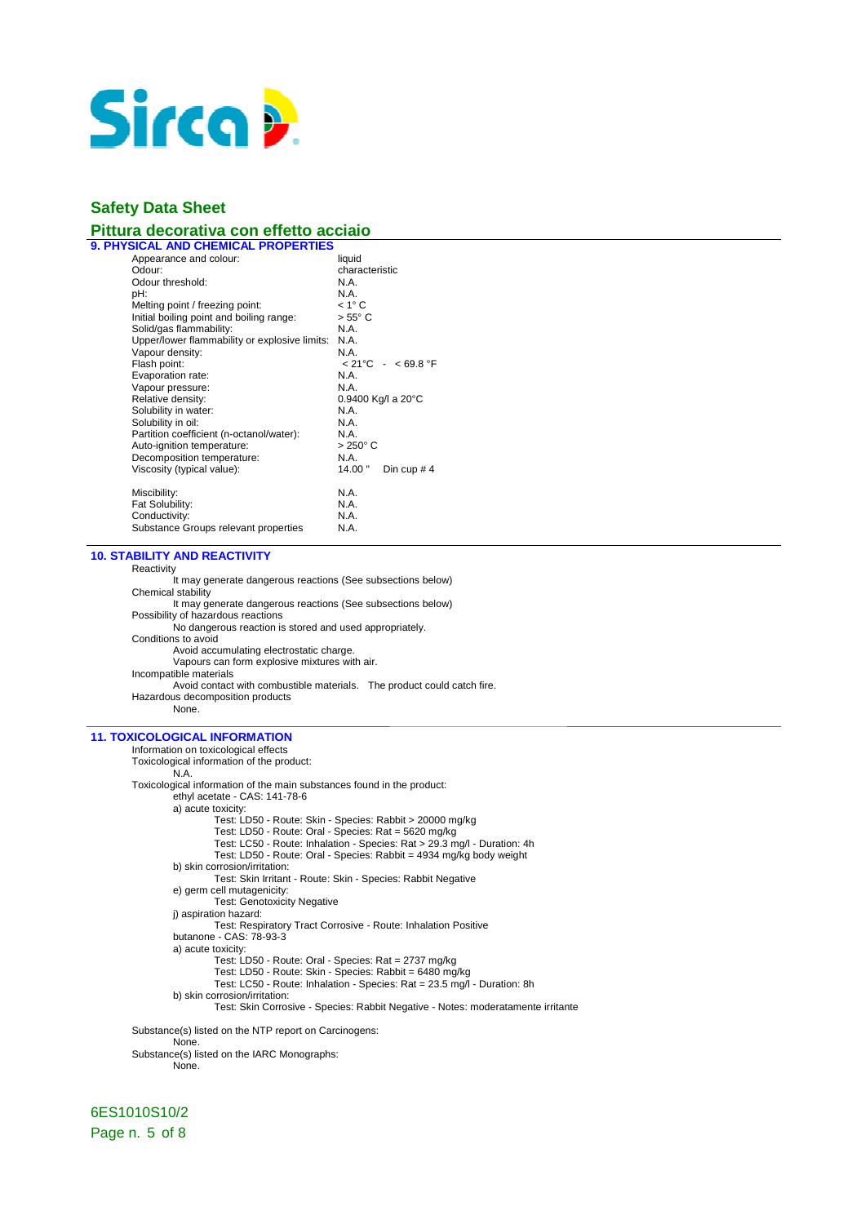

# **Pittura decorativa con effetto acciaio**

| <b>9. PHYSICAL AND CHEMICAL PROPERTIES</b>    |                  |                                       |
|-----------------------------------------------|------------------|---------------------------------------|
| Appearance and colour:                        | liquid           |                                       |
| Odour:                                        | characteristic   |                                       |
| Odour threshold:                              | N.A.             |                                       |
| pH:                                           | N.A.             |                                       |
| Melting point / freezing point:               | $< 1^\circ C$    |                                       |
| Initial boiling point and boiling range:      | $> 55^{\circ}$ C |                                       |
| Solid/gas flammability:                       | N.A.             |                                       |
| Upper/lower flammability or explosive limits: | N.A.             |                                       |
| Vapour density:                               | N A              |                                       |
| Flash point:                                  |                  | $< 21^{\circ}$ C - $< 69.8^{\circ}$ F |
| Evaporation rate:                             | N.A.             |                                       |
| Vapour pressure:                              | N.A.             |                                       |
| Relative density:                             |                  | $0.9400$ Kg/I a 20 $^{\circ}$ C       |
| Solubility in water:                          | N.A.             |                                       |
| Solubility in oil:                            | N.A.             |                                       |
| Partition coefficient (n-octanol/water):      | N.A.             |                                       |
| Auto-ignition temperature:                    | $>250^{\circ}$ C |                                       |
| Decomposition temperature:                    | N.A.             |                                       |
| Viscosity (typical value):                    | 14.00"           | Din cup $#4$                          |
| Miscibility:                                  | N.A.             |                                       |
| Fat Solubility:                               | N.A.             |                                       |
| Conductivity:                                 | N.A.             |                                       |
| Substance Groups relevant properties          | N.A.             |                                       |
|                                               |                  |                                       |

### **10. STABILITY AND REACTIVITY**

**Reactivity** 

It may generate dangerous reactions (See subsections below) Chemical stability It may generate dangerous reactions (See subsections below) Possibility of hazardous reactions No dangerous reaction is stored and used appropriately. Conditions to avoid Avoid accumulating electrostatic charge. Vapours can form explosive mixtures with air. Incompatible materials Avoid contact with combustible materials. The product could catch fire. Hazardous decomposition products None.

### **11. TOXICOLOGICAL INFORMATION**

Information on toxicological effects Toxicological information of the product: N.A. Toxicological information of the main substances found in the product: ethyl acetate - CAS: 141-78-6 a) acute toxicity: Test: LD50 - Route: Skin - Species: Rabbit > 20000 mg/kg Test: LD50 - Route: Oral - Species: Rat = 5620 mg/kg Test: LC50 - Route: Inhalation - Species: Rat > 29.3 mg/l - Duration: 4h Test: LD50 - Route: Oral - Species: Rabbit = 4934 mg/kg body weight b) skin corrosion/irritation: Test: Skin Irritant - Route: Skin - Species: Rabbit Negative e) germ cell mutagenicity: Test: Genotoxicity Negative j) aspiration hazard: Test: Respiratory Tract Corrosive - Route: Inhalation Positive butanone - CAS: 78-93-3 a) acute toxicity: Test: LD50 - Route: Oral - Species: Rat = 2737 mg/kg Test: LD50 - Route: Skin - Species: Rabbit = 6480 mg/kg Test: LC50 - Route: Inhalation - Species: Rat = 23.5 mg/l - Duration: 8h b) skin corrosion/irritation: Test: Skin Corrosive - Species: Rabbit Negative - Notes: moderatamente irritante Substance(s) listed on the NTP report on Carcinogens: **None** Substance(s) listed on the IARC Monographs: None.

6ES1010S10/2 Page n. 5 of 8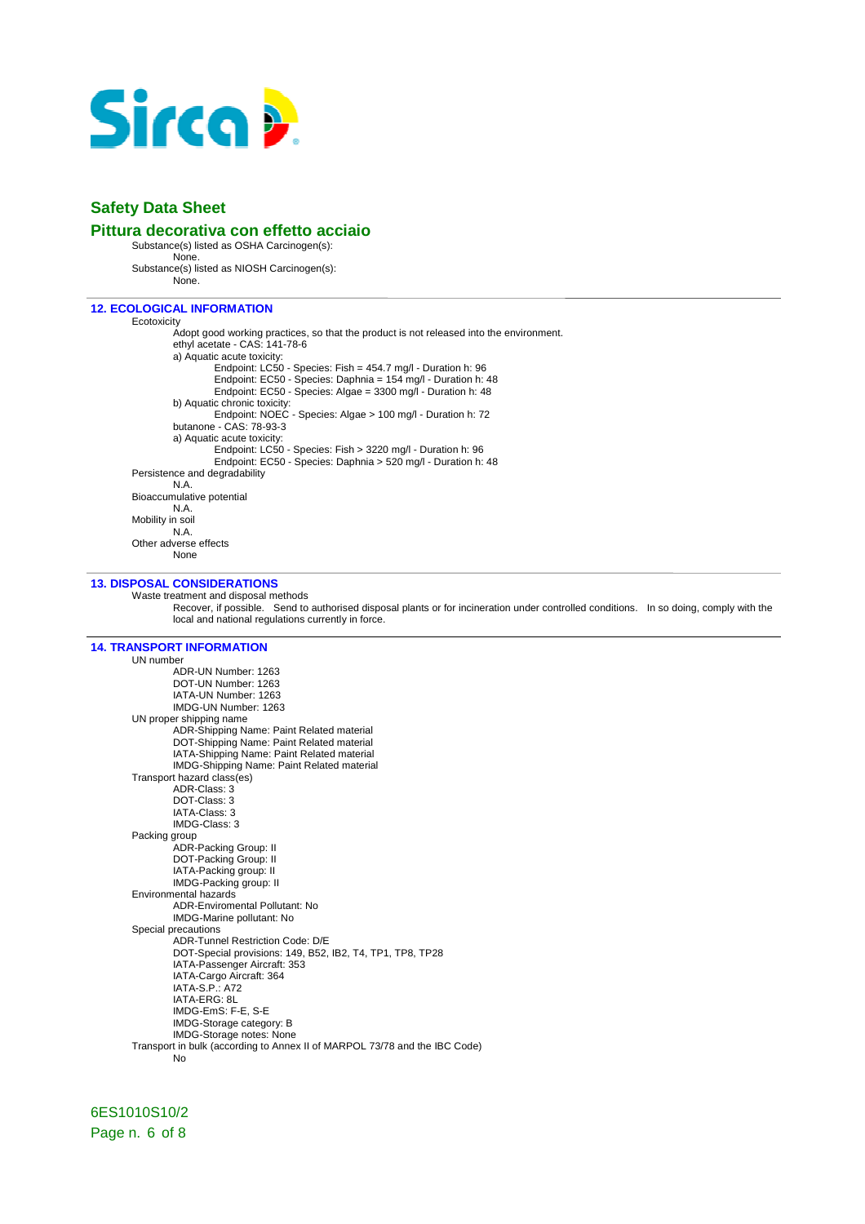

### **Pittura decorativa con effetto acciaio**

Substance(s) listed as OSHA Carcinogen(s):

None.

Substance(s) listed as NIOSH Carcinogen(s): None.

### **12. ECOLOGICAL INFORMATION**

Ecotoxicity Adopt good working practices, so that the product is not released into the environment. ethyl acetate - CAS: 141-78-6 a) Aquatic acute toxicity: Endpoint: LC50 - Species: Fish = 454.7 mg/l - Duration h: 96 Endpoint: EC50 - Species: Daphnia = 154 mg/l - Duration h: 48 Endpoint: EC50 - Species: Algae = 3300 mg/l - Duration h: 48 b) Aquatic chronic toxicity: Endpoint: NOEC - Species: Algae > 100 mg/l - Duration h: 72 butanone - CAS: 78-93-3 a) Aquatic acute toxicity: Endpoint: LC50 - Species: Fish > 3220 mg/l - Duration h: 96 Endpoint: EC50 - Species: Daphnia > 520 mg/l - Duration h: 48 Persistence and degradability N.A. Bioaccumulative potential N.A. Mobility in soil N.A. Other adverse effects None

### **13. DISPOSAL CONSIDERATIONS**

Waste treatment and disposal methods

Recover, if possible. Send to authorised disposal plants or for incineration under controlled conditions. In so doing, comply with the local and national regulations currently in force.

### **14. TRANSPORT INFORMATION**

UN number ADR-UN Number: 1263 DOT-UN Number: 1263 IATA-UN Number: 1263 IMDG-UN Number: 1263 UN proper shipping name ADR-Shipping Name: Paint Related material DOT-Shipping Name: Paint Related material IATA-Shipping Name: Paint Related material IMDG-Shipping Name: Paint Related material Transport hazard class(es) ADR-Class: 3 DOT-Class: 3 IATA-Class: 3 IMDG-Class: 3 Packing group ADR-Packing Group: II DOT-Packing Group: II IATA-Packing group: II IMDG-Packing group: II Environmental hazards ADR-Enviromental Pollutant: No IMDG-Marine pollutant: No Special precautions ADR-Tunnel Restriction Code: D/E DOT-Special provisions: 149, B52, IB2, T4, TP1, TP8, TP28 IATA-Passenger Aircraft: 353 IATA-Cargo Aircraft: 364 IATA-S.P.: A72 IATA-ERG: 8L IMDG-EmS: F-E, S-E IMDG-Storage category: B IMDG-Storage notes: None Transport in bulk (according to Annex II of MARPOL 73/78 and the IBC Code) No

6ES1010S10/2 Page n. 6 of 8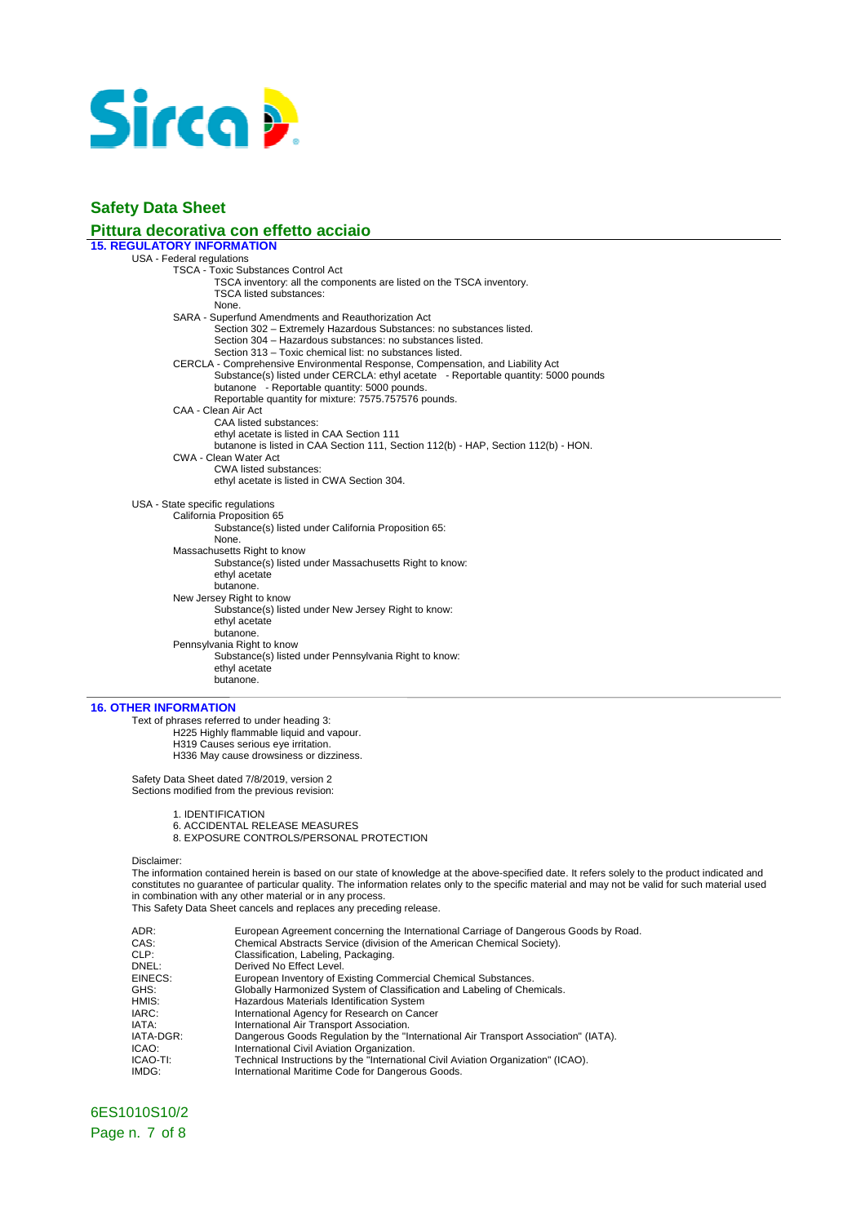

### **Pittura decorativa con effetto acciaio**

**15. REGULATORY INFORMATION** 

USA - Federal regulations TSCA - Toxic Substances Control Act TSCA inventory: all the components are listed on the TSCA inventory. TSCA listed substances: None. SARA - Superfund Amendments and Reauthorization Act Section 302 – Extremely Hazardous Substances: no substances listed. Section 304 – Hazardous substances: no substances listed. Section 313 – Toxic chemical list: no substances listed. CERCLA - Comprehensive Environmental Response, Compensation, and Liability Act Substance(s) listed under CERCLA: ethyl acetate - Reportable quantity: 5000 pounds butanone - Reportable quantity: 5000 pounds. Reportable quantity for mixture: 7575.757576 pounds. CAA - Clean Air Act CAA listed substances: ethyl acetate is listed in CAA Section 111 butanone is listed in CAA Section 111, Section 112(b) - HAP, Section 112(b) - HON. CWA - Clean Water Act CWA listed substances: ethyl acetate is listed in CWA Section 304. USA - State specific regulations California Proposition 65 Substance(s) listed under California Proposition 65: None. Massachusetts Right to know Substance(s) listed under Massachusetts Right to know: ethyl acetate butanone. New Jersey Right to know Substance(s) listed under New Jersey Right to know: ethyl acetate butanone. Pennsylvania Right to know Substance(s) listed under Pennsylvania Right to know: ethyl acetate butanone.

### **16. OTHER INFORMATION**

Text of phrases referred to under heading 3: H225 Highly flammable liquid and vapour. H319 Causes serious eye irritation. H336 May cause drowsiness or dizziness.

Safety Data Sheet dated 7/8/2019, version 2 Sections modified from the previous revision:

1. IDENTIFICATION

- 6. ACCIDENTAL RELEASE MEASURES
- 8. EXPOSURE CONTROLS/PERSONAL PROTECTION

Disclaimer:

The information contained herein is based on our state of knowledge at the above-specified date. It refers solely to the product indicated and constitutes no guarantee of particular quality. The information relates only to the specific material and may not be valid for such material used in combination with any other material or in any process. This Safety Data Sheet cancels and replaces any preceding release.

| ADR:      | European Agreement concerning the International Carriage of Dangerous Goods by Road. |
|-----------|--------------------------------------------------------------------------------------|
| CAS:      | Chemical Abstracts Service (division of the American Chemical Society).              |
| CLP:      | Classification, Labeling, Packaging.                                                 |
| DNEL:     | Derived No Effect Level.                                                             |
| EINECS:   | European Inventory of Existing Commercial Chemical Substances.                       |
| GHS:      | Globally Harmonized System of Classification and Labeling of Chemicals.              |
| HMIS:     | Hazardous Materials Identification System                                            |
| IARC:     | International Agency for Research on Cancer                                          |
| IATA:     | International Air Transport Association.                                             |
| IATA-DGR: | Dangerous Goods Regulation by the "International Air Transport Association" (IATA).  |
| ICAO:     | International Civil Aviation Organization.                                           |
| ICAO-TI:  | Technical Instructions by the "International Civil Aviation Organization" (ICAO).    |
| IMDG:     | International Maritime Code for Dangerous Goods.                                     |
|           |                                                                                      |